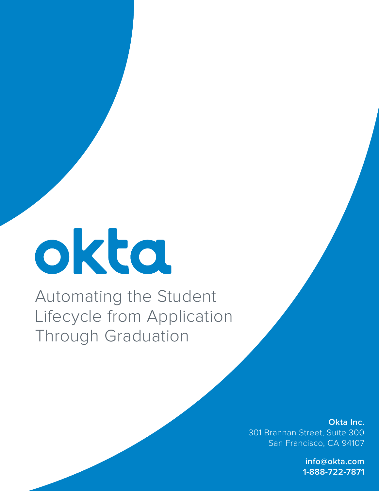## okta

Automating the Student Lifecycle from Application Through Graduation

> **Okta Inc.** 301 Brannan Street, Suite 300 San Francisco, CA 94107

> > **info@okta.com 1-888-722-7871**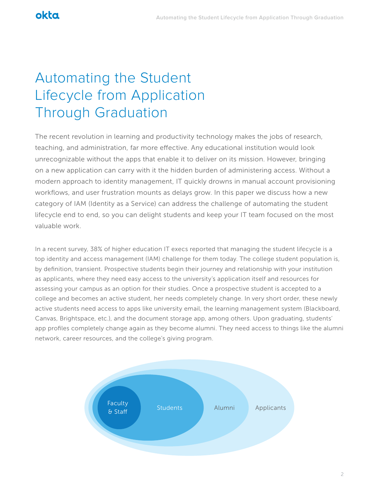## okta

## Automating the Student Lifecycle from Application Through Graduation

The recent revolution in learning and productivity technology makes the jobs of research, teaching, and administration, far more effective. Any educational institution would look unrecognizable without the apps that enable it to deliver on its mission. However, bringing on a new application can carry with it the hidden burden of administering access. Without a modern approach to identity management, IT quickly drowns in manual account provisioning workflows, and user frustration mounts as delays grow. In this paper we discuss how a new category of IAM (Identity as a Service) can address the challenge of automating the student lifecycle end to end, so you can delight students and keep your IT team focused on the most valuable work.

In a recent survey, 38% of higher education IT execs reported that managing the student lifecycle is a top identity and access management (IAM) challenge for them today. The college student population is, by definition, transient. Prospective students begin their journey and relationship with your institution as applicants, where they need easy access to the university's application itself and resources for assessing your campus as an option for their studies. Once a prospective student is accepted to a college and becomes an active student, her needs completely change. In very short order, these newly active students need access to apps like university email, the learning management system (Blackboard, Canvas, Brightspace, etc.), and the document storage app, among others. Upon graduating, students' app profiles completely change again as they become alumni. They need access to things like the alumni network, career resources, and the college's giving program.

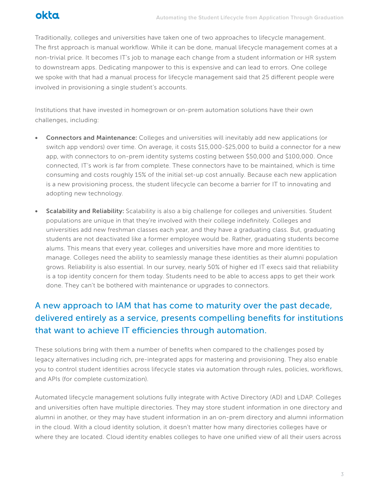Traditionally, colleges and universities have taken one of two approaches to lifecycle management. The first approach is manual workflow. While it can be done, manual lifecycle management comes at a non-trivial price. It becomes IT's job to manage each change from a student information or HR system to downstream apps. Dedicating manpower to this is expensive and can lead to errors. One college we spoke with that had a manual process for lifecycle management said that 25 different people were involved in provisioning a single student's accounts.

Institutions that have invested in homegrown or on-prem automation solutions have their own challenges, including:

- Connectors and Maintenance: Colleges and universities will inevitably add new applications (or switch app vendors) over time. On average, it costs \$15,000-\$25,000 to build a connector for a new app, with connectors to on-prem identity systems costing between \$50,000 and \$100,000. Once connected, IT's work is far from complete. These connectors have to be maintained, which is time consuming and costs roughly 15% of the initial set-up cost annually. Because each new application is a new provisioning process, the student lifecycle can become a barrier for IT to innovating and adopting new technology.
- **Scalability and Reliability:** Scalability is also a big challenge for colleges and universities. Student populations are unique in that they're involved with their college indefinitely. Colleges and universities add new freshman classes each year, and they have a graduating class. But, graduating students are not deactivated like a former employee would be. Rather, graduating students become alums. This means that every year, colleges and universities have more and more identities to manage. Colleges need the ability to seamlessly manage these identities as their alumni population grows. Reliability is also essential. In our survey, nearly 50% of higher ed IT execs said that reliability is a top identity concern for them today. Students need to be able to access apps to get their work done. They can't be bothered with maintenance or upgrades to connectors.

## A new approach to IAM that has come to maturity over the past decade, delivered entirely as a service, presents compelling benefits for institutions that want to achieve IT efficiencies through automation.

These solutions bring with them a number of benefits when compared to the challenges posed by legacy alternatives including rich, pre-integrated apps for mastering and provisioning. They also enable you to control student identities across lifecycle states via automation through rules, policies, workflows, and APIs (for complete customization).

Automated lifecycle management solutions fully integrate with Active Directory (AD) and LDAP. Colleges and universities often have multiple directories. They may store student information in one directory and alumni in another, or they may have student information in an on-prem directory and alumni information in the cloud. With a cloud identity solution, it doesn't matter how many directories colleges have or where they are located. Cloud identity enables colleges to have one unified view of all their users across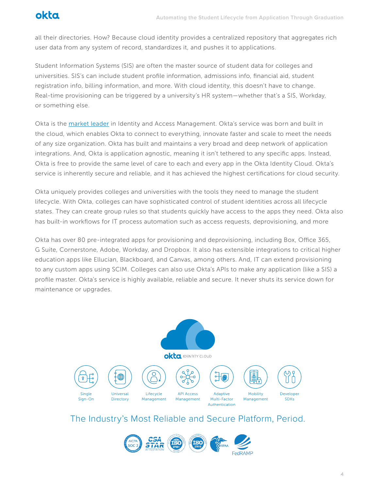

all their directories. How? Because cloud identity provides a centralized repository that aggregates rich user data from any system of record, standardizes it, and pushes it to applications.

Student Information Systems (SIS) are often the master source of student data for colleges and universities. SIS's can include student profile information, admissions info, financial aid, student registration info, billing information, and more. With cloud identity, this doesn't have to change. Real-time provisioning can be triggered by a university's HR system—whether that's a SIS, Workday, or something else.

Okta is the market leader in Identity and Access Management. Okta's service was born and built in the cloud, which enables Okta to connect to everything, innovate faster and scale to meet the needs of any size organization. Okta has built and maintains a very broad and deep network of application integrations. And, Okta is application agnostic, meaning it isn't tethered to any specific apps. Instead, Okta is free to provide the same level of care to each and every app in the Okta Identity Cloud. Okta's service is inherently secure and reliable, and it has achieved the highest certifications for cloud security.

Okta uniquely provides colleges and universities with the tools they need to manage the student lifecycle. With Okta, colleges can have sophisticated control of student identities across all lifecycle states. They can create group rules so that students quickly have access to the apps they need. Okta also has built-in workflows for IT process automation such as access requests, deprovisioning, and more

Okta has over 80 pre-integrated apps for provisioning and deprovisioning, including Box, Office 365, G Suite, Cornerstone, Adobe, Workday, and Dropbox. It also has extensible integrations to critical higher education apps like Ellucian, Blackboard, and Canvas, among others. And, IT can extend provisioning to any custom apps using SCIM. Colleges can also use Okta's APIs to make any application (like a SIS) a profile master. Okta's service is highly available, reliable and secure. It never shuts its service down for maintenance or upgrades.



The Industry's Most Reliable and Secure Platform, Period.